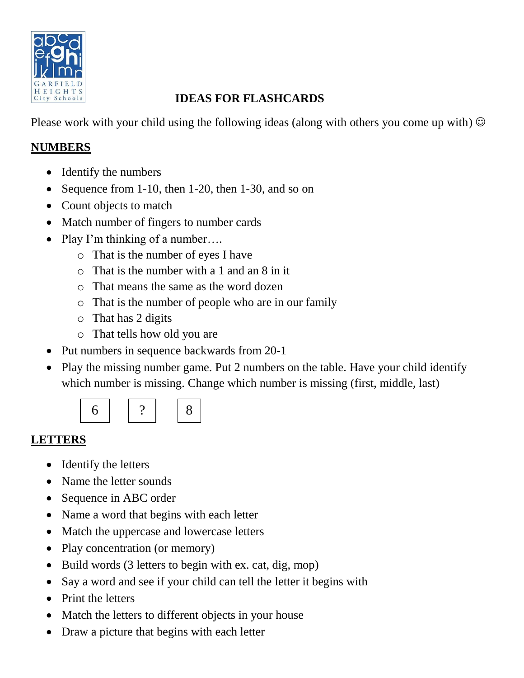

## **IDEAS FOR FLASHCARDS**

Please work with your child using the following ideas (along with others you come up with)  $\odot$ 

## **NUMBERS**

- Identify the numbers
- Sequence from 1-10, then 1-20, then 1-30, and so on
- Count objects to match
- Match number of fingers to number cards
- Play I'm thinking of a number....
	- o That is the number of eyes I have
	- o That is the number with a 1 and an 8 in it
	- o That means the same as the word dozen
	- o That is the number of people who are in our family
	- o That has 2 digits
	- o That tells how old you are
- Put numbers in sequence backwards from 20-1
- Play the missing number game. Put 2 numbers on the table. Have your child identify which number is missing. Change which number is missing (first, middle, last)



## **LETTERS**

- Identify the letters
- Name the letter sounds
- Sequence in ABC order
- Name a word that begins with each letter
- Match the uppercase and lowercase letters
- Play concentration (or memory)
- Build words (3 letters to begin with ex. cat, dig, mop)
- Say a word and see if your child can tell the letter it begins with
- Print the letters
- Match the letters to different objects in your house
- Draw a picture that begins with each letter